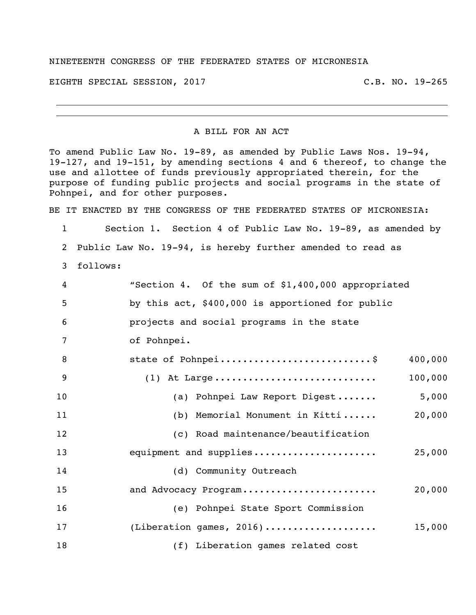## NINETEENTH CONGRESS OF THE FEDERATED STATES OF MICRONESIA

EIGHTH SPECIAL SESSION, 2017 C.B. NO. 19-265

## A BILL FOR AN ACT

To amend Public Law No. 19-89, as amended by Public Laws Nos. 19-94, 19-127, and 19-151, by amending sections 4 and 6 thereof, to change the use and allottee of funds previously appropriated therein, for the purpose of funding public projects and social programs in the state of Pohnpei, and for other purposes.

BE IT ENACTED BY THE CONGRESS OF THE FEDERATED STATES OF MICRONESIA:

 Section 1. Section 4 of Public Law No. 19-89, as amended by Public Law No. 19-94, is hereby further amended to read as 3 follows: "Section 4. Of the sum of \$1,400,000 appropriated by this act, \$400,000 is apportioned for public projects and social programs in the state of Pohnpei. 8 state of Pohnpei...............................\$ 400,000 (1) At Large ............................. 100,000 10 (a) Pohnpei Law Report Digest....... 5,000 (b) Memorial Monument in Kitti ...... 20,000 (c) Road maintenance/beautification equipment and supplies...................... 25,000 14 (d) Community Outreach and Advocacy Program........................ 20,000 (e) Pohnpei State Sport Commission (Liberation games, 2016).................... 15,000 (f) Liberation games related cost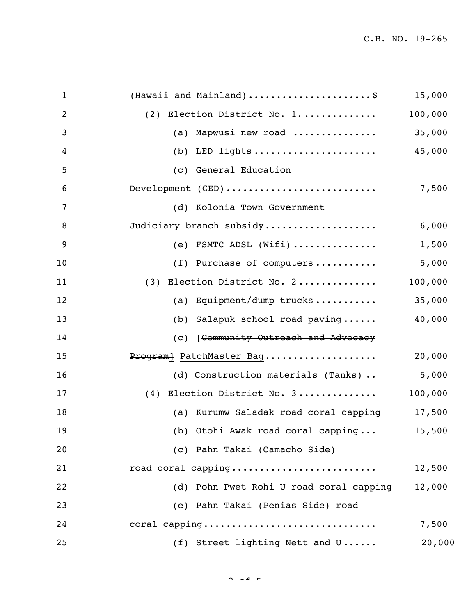| $\mathbf{1}$   | (Hawaii and Mainland)\$                 | 15,000  |
|----------------|-----------------------------------------|---------|
| $\overline{2}$ | (2) Election District No. 1             | 100,000 |
| 3              | (a) Mapwusi new road                    | 35,000  |
| 4              | LED lights<br>(b)                       | 45,000  |
| 5              | (c) General Education                   |         |
| 6              | Development (GED)                       | 7,500   |
| 7              | (d) Kolonia Town Government             |         |
| 8              | Judiciary branch subsidy                | 6,000   |
| 9              | (e) FSMTC ADSL $(Witi)$                 | 1,500   |
| 10             | (f) Purchase of computers               | 5,000   |
| 11             | (3) Election District No. 2             | 100,000 |
| 12             | (a) Equipment/dump trucks               | 35,000  |
| 13             | (b) Salapuk school road paving          | 40,000  |
| 14             | (c) [Community Outreach and Advocacy    |         |
| 15             | Program} PatchMaster Bag                | 20,000  |
| 16             | (d) Construction materials (Tanks)      | 5,000   |
| 17             | (4) Election District No. 3             | 100,000 |
| 18             | (a) Kurumw Saladak road coral capping   | 17,500  |
| 19             | (b) Otohi Awak road coral capping       | 15,500  |
| 20             | (c) Pahn Takai (Camacho Side)           |         |
| 21             | road coral capping                      | 12,500  |
| 22             | (d) Pohn Pwet Rohi U road coral capping | 12,000  |
| 23             | (e) Pahn Takai (Penias Side) road       |         |
| 24             | coral capping                           | 7,500   |
| 25             | (f) Street lighting Nett and U          | 20,000  |
|                |                                         |         |

 $2 \times 5$   $\epsilon$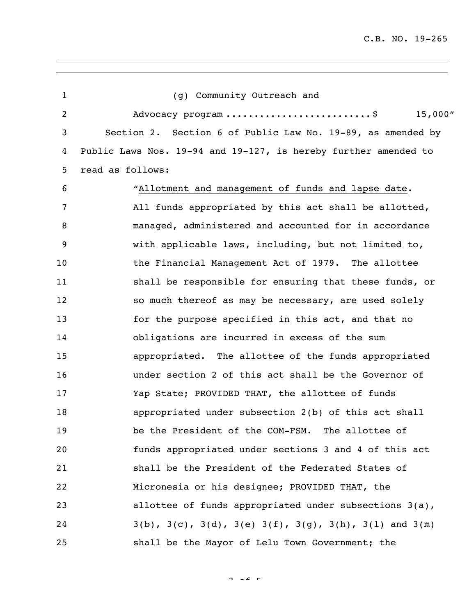| $\mathbf 1$ | (g) Community Outreach and                                                     |
|-------------|--------------------------------------------------------------------------------|
| 2           | 15,000''<br>Advocacy program \$                                                |
| 3           | Section 2. Section 6 of Public Law No. 19-89, as amended by                    |
| 4           | Public Laws Nos. 19-94 and 19-127, is hereby further amended to                |
| 5           | read as follows:                                                               |
| 6           | "Allotment and management of funds and lapse date.                             |
| 7           | All funds appropriated by this act shall be allotted,                          |
| 8           | managed, administered and accounted for in accordance                          |
| 9           | with applicable laws, including, but not limited to,                           |
| 10          | the Financial Management Act of 1979. The allottee                             |
| 11          | shall be responsible for ensuring that these funds, or                         |
| 12          | so much thereof as may be necessary, are used solely                           |
| 13          | for the purpose specified in this act, and that no                             |
| 14          | obligations are incurred in excess of the sum                                  |
| 15          | appropriated. The allottee of the funds appropriated                           |
| 16          | under section 2 of this act shall be the Governor of                           |
| 17          | Yap State; PROVIDED THAT, the allottee of funds                                |
| 18          | appropriated under subsection 2(b) of this act shall                           |
| 19          | be the President of the COM-FSM. The allottee of                               |
| 20          | funds appropriated under sections 3 and 4 of this act                          |
| 21          | shall be the President of the Federated States of                              |
| 22          | Micronesia or his designee; PROVIDED THAT, the                                 |
| 23          | allottee of funds appropriated under subsections 3(a),                         |
| 24          | $3(b)$ , $3(c)$ , $3(d)$ , $3(e)$ $3(f)$ , $3(g)$ , $3(h)$ , $3(1)$ and $3(m)$ |
| 25          | shall be the Mayor of Lelu Town Government; the                                |

 $2 \times 5$   $\epsilon$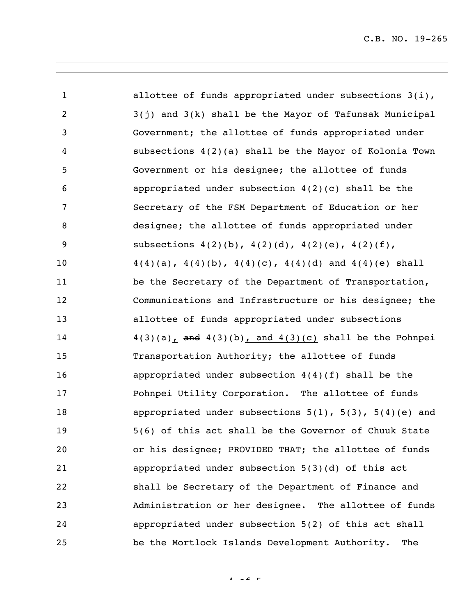| $\mathbf{1}$   | allottee of funds appropriated under subsections $3(i)$ ,         |
|----------------|-------------------------------------------------------------------|
| $\overline{2}$ | 3(j) and 3(k) shall be the Mayor of Tafunsak Municipal            |
| 3              | Government; the allottee of funds appropriated under              |
| 4              | subsections $4(2)(a)$ shall be the Mayor of Kolonia Town          |
| 5              | Government or his designee; the allottee of funds                 |
| 6              | appropriated under subsection $4(2)(c)$ shall be the              |
| 7              | Secretary of the FSM Department of Education or her               |
| 8              | designee; the allottee of funds appropriated under                |
| 9              | subsections $4(2)(b)$ , $4(2)(d)$ , $4(2)(e)$ , $4(2)(f)$ ,       |
| 10             | $4(4)(a)$ , $4(4)(b)$ , $4(4)(c)$ , $4(4)(d)$ and $4(4)(e)$ shall |
| 11             | be the Secretary of the Department of Transportation,             |
| 12             | Communications and Infrastructure or his designee; the            |
| 13             | allottee of funds appropriated under subsections                  |
| 14             | $4(3)(a)$ , and $4(3)(b)$ , and $4(3)(c)$ shall be the Pohnpei    |
| 15             | Transportation Authority; the allottee of funds                   |
| 16             | appropriated under subsection $4(4)(f)$ shall be the              |
| 17             | Pohnpei Utility Corporation. The allottee of funds                |
| 18             | appropriated under subsections $5(1)$ , $5(3)$ , $5(4)(e)$ and    |
| 19             | 5(6) of this act shall be the Governor of Chuuk State             |
| 20             | or his designee; PROVIDED THAT; the allottee of funds             |
| 21             | appropriated under subsection 5(3)(d) of this act                 |
| 22             | shall be Secretary of the Department of Finance and               |
| 23             | Administration or her designee. The allottee of funds             |
| 24             | appropriated under subsection 5(2) of this act shall              |
| 25             | be the Mortlock Islands Development Authority.<br>The             |

 $4 \times 5$   $\epsilon$